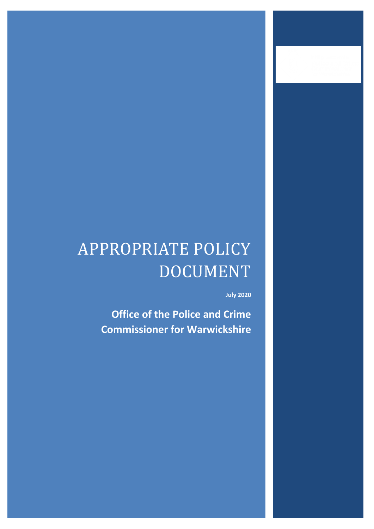# APPROPRIATE POLICY DOCUMENT

**July 2020**

**Office of the Police and Crime Commissioner for Warwickshire**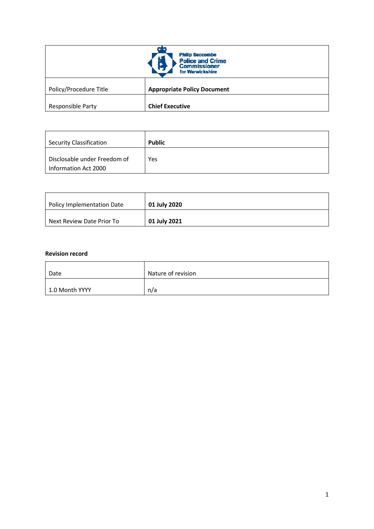| <b>Philip Seccombe</b><br>N<br><b>Police and Crime</b><br><b>Commissioner</b><br>for Warwickshire |                                    |
|---------------------------------------------------------------------------------------------------|------------------------------------|
| Policy/Procedure Title                                                                            | <b>Appropriate Policy Document</b> |
| Responsible Party                                                                                 | <b>Chief Executive</b>             |

| <b>Security Classification</b>                       | <b>Public</b> |
|------------------------------------------------------|---------------|
| Disclosable under Freedom of<br>Information Act 2000 | Yes           |

| Policy Implementation Date | 01 July 2020 |
|----------------------------|--------------|
| Next Review Date Prior To  | 01 July 2021 |

#### **Revision record**

| Date           | Nature of revision |
|----------------|--------------------|
| 1.0 Month YYYY | n/a                |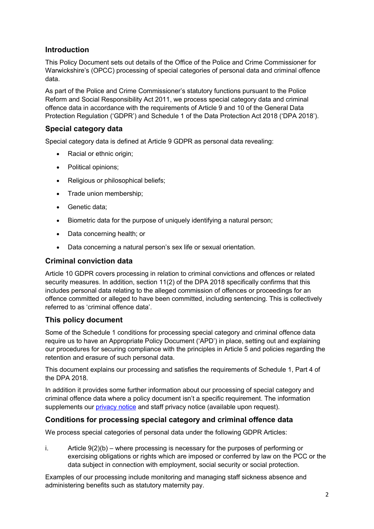# **Introduction**

This Policy Document sets out details of the Office of the Police and Crime Commissioner for Warwickshire's (OPCC) processing of special categories of personal data and criminal offence data.

As part of the Police and Crime Commissioner's statutory functions pursuant to the Police Reform and Social Responsibility Act 2011, we process special category data and criminal offence data in accordance with the requirements of Article 9 and 10 of the General Data Protection Regulation ('GDPR') and Schedule 1 of the Data Protection Act 2018 ('DPA 2018').

## **Special category data**

Special category data is defined at Article 9 GDPR as personal data revealing:

- Racial or ethnic origin;
- Political opinions;
- Religious or philosophical beliefs;
- Trade union membership;
- Genetic data;
- Biometric data for the purpose of uniquely identifying a natural person;
- Data concerning health; or
- Data concerning a natural person's sex life or sexual orientation.

## **Criminal conviction data**

Article 10 GDPR covers processing in relation to criminal convictions and offences or related security measures. In addition, section 11(2) of the DPA 2018 specifically confirms that this includes personal data relating to the alleged commission of offences or proceedings for an offence committed or alleged to have been committed, including sentencing. This is collectively referred to as 'criminal offence data'.

## **This policy document**

Some of the Schedule 1 conditions for processing special category and criminal offence data require us to have an Appropriate Policy Document ('APD') in place, setting out and explaining our procedures for securing compliance with the principles in Article 5 and policies regarding the retention and erasure of such personal data.

This document explains our processing and satisfies the requirements of Schedule 1, Part 4 of the DPA 2018.

In addition it provides some further information about our processing of special category and criminal offence data where a policy document isn't a specific requirement. The information supplements our [privacy notice](https://www.warwickshire-pcc.gov.uk/policies/privacy-policy/) and staff privacy notice (available upon request).

## **Conditions for processing special category and criminal offence data**

We process special categories of personal data under the following GDPR Articles:

i. Article  $9(2)(b)$  – where processing is necessary for the purposes of performing or exercising obligations or rights which are imposed or conferred by law on the PCC or the data subject in connection with employment, social security or social protection.

Examples of our processing include monitoring and managing staff sickness absence and administering benefits such as statutory maternity pay.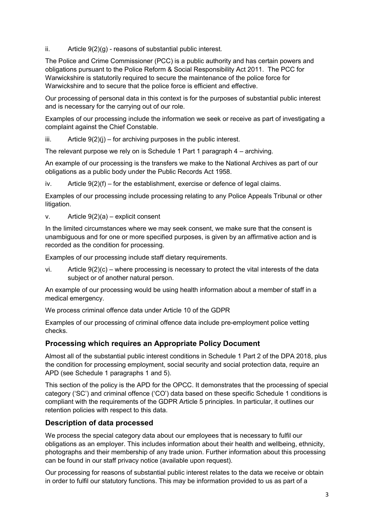ii. Article  $9(2)(g)$  - reasons of substantial public interest.

The Police and Crime Commissioner (PCC) is a public authority and has certain powers and obligations pursuant to the Police Reform & Social Responsibility Act 2011. The PCC for Warwickshire is statutorily required to secure the maintenance of the police force for Warwickshire and to secure that the police force is efficient and effective.

Our processing of personal data in this context is for the purposes of substantial public interest and is necessary for the carrying out of our role.

Examples of our processing include the information we seek or receive as part of investigating a complaint against the Chief Constable.

 $iii.$  Article  $9(2)(i)$  – for archiving purposes in the public interest.

The relevant purpose we rely on is Schedule 1 Part 1 paragraph 4 – archiving.

An example of our processing is the transfers we make to the National Archives as part of our obligations as a public body under the Public Records Act 1958.

iv. Article  $9(2)(f)$  – for the establishment, exercise or defence of legal claims.

Examples of our processing include processing relating to any Police Appeals Tribunal or other litigation.

v. Article  $9(2)(a)$  – explicit consent

In the limited circumstances where we may seek consent, we make sure that the consent is unambiguous and for one or more specified purposes, is given by an affirmative action and is recorded as the condition for processing.

Examples of our processing include staff dietary requirements.

vi. Article  $9(2)(c)$  – where processing is necessary to protect the vital interests of the data subject or of another natural person.

An example of our processing would be using health information about a member of staff in a medical emergency.

We process criminal offence data under Article 10 of the GDPR

Examples of our processing of criminal offence data include pre-employment police vetting checks.

## **Processing which requires an Appropriate Policy Document**

Almost all of the substantial public interest conditions in Schedule 1 Part 2 of the DPA 2018, plus the condition for processing employment, social security and social protection data, require an APD (see Schedule 1 paragraphs 1 and 5).

This section of the policy is the APD for the OPCC. It demonstrates that the processing of special category ('SC') and criminal offence ('CO') data based on these specific Schedule 1 conditions is compliant with the requirements of the GDPR Article 5 principles. In particular, it outlines our retention policies with respect to this data.

## **Description of data processed**

We process the special category data about our employees that is necessary to fulfil our obligations as an employer. This includes information about their health and wellbeing, ethnicity, photographs and their membership of any trade union. Further information about this processing can be found in our staff privacy notice (available upon request).

Our processing for reasons of substantial public interest relates to the data we receive or obtain in order to fulfil our statutory functions. This may be information provided to us as part of a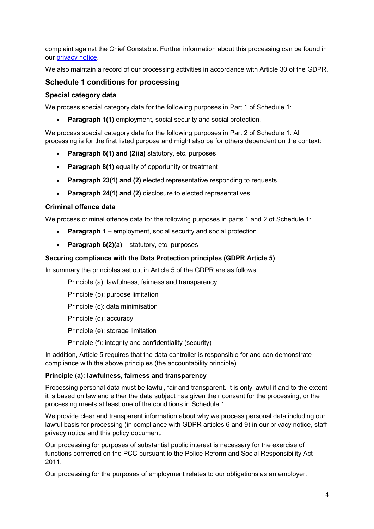complaint against the Chief Constable. Further information about this processing can be found in our [privacy notice.](https://www.warwickshire-pcc.gov.uk/policies/privacy-policy/)

We also maintain a record of our processing activities in accordance with Article 30 of the GDPR.

# **Schedule 1 conditions for processing**

#### **Special category data**

We process special category data for the following purposes in Part 1 of Schedule 1:

**Paragraph 1(1)** employment, social security and social protection.

We process special category data for the following purposes in Part 2 of Schedule 1. All processing is for the first listed purpose and might also be for others dependent on the context:

- **Paragraph 6(1) and (2)(a)** statutory, etc. purposes
- **Paragraph 8(1)** equality of opportunity or treatment
- **Paragraph 23(1) and (2)** elected representative responding to requests
- **Paragraph 24(1) and (2)** disclosure to elected representatives

#### **Criminal offence data**

We process criminal offence data for the following purposes in parts 1 and 2 of Schedule 1:

- **Paragraph 1** employment, social security and social protection
- **Paragraph 6(2)(a)** statutory, etc. purposes

#### **Securing compliance with the Data Protection principles (GDPR Article 5)**

In summary the principles set out in Article 5 of the GDPR are as follows:

Principle (a): lawfulness, fairness and transparency

Principle (b): purpose limitation

Principle (c): data minimisation

Principle (d): accuracy

Principle (e): storage limitation

Principle (f): integrity and confidentiality (security)

In addition, Article 5 requires that the data controller is responsible for and can demonstrate compliance with the above principles (the accountability principle)

#### **Principle (a): lawfulness, fairness and transparency**

Processing personal data must be lawful, fair and transparent. It is only lawful if and to the extent it is based on law and either the data subject has given their consent for the processing, or the processing meets at least one of the conditions in Schedule 1.

We provide clear and transparent information about why we process personal data including our lawful basis for processing (in compliance with GDPR articles 6 and 9) in our privacy notice, staff privacy notice and this policy document.

Our processing for purposes of substantial public interest is necessary for the exercise of functions conferred on the PCC pursuant to the Police Reform and Social Responsibility Act 2011.

Our processing for the purposes of employment relates to our obligations as an employer.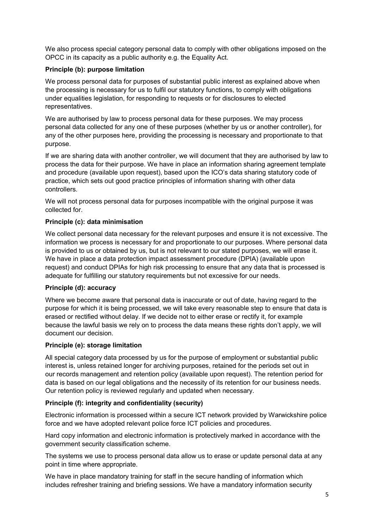We also process special category personal data to comply with other obligations imposed on the OPCC in its capacity as a public authority e.g. the Equality Act.

#### **Principle (b): purpose limitation**

We process personal data for purposes of substantial public interest as explained above when the processing is necessary for us to fulfil our statutory functions, to comply with obligations under equalities legislation, for responding to requests or for disclosures to elected representatives.

We are authorised by law to process personal data for these purposes. We may process personal data collected for any one of these purposes (whether by us or another controller), for any of the other purposes here, providing the processing is necessary and proportionate to that purpose.

If we are sharing data with another controller, we will document that they are authorised by law to process the data for their purpose. We have in place an information sharing agreement template and procedure (available upon request), based upon the ICO's data sharing statutory code of practice, which sets out good practice principles of information sharing with other data controllers.

We will not process personal data for purposes incompatible with the original purpose it was collected for.

#### **Principle (c): data minimisation**

We collect personal data necessary for the relevant purposes and ensure it is not excessive. The information we process is necessary for and proportionate to our purposes. Where personal data is provided to us or obtained by us, but is not relevant to our stated purposes, we will erase it. We have in place a data protection impact assessment procedure (DPIA) (available upon request) and conduct DPIAs for high risk processing to ensure that any data that is processed is adequate for fulfilling our statutory requirements but not excessive for our needs.

#### **Principle (d): accuracy**

Where we become aware that personal data is inaccurate or out of date, having regard to the purpose for which it is being processed, we will take every reasonable step to ensure that data is erased or rectified without delay. If we decide not to either erase or rectify it, for example because the lawful basis we rely on to process the data means these rights don't apply, we will document our decision.

## **Principle (e): storage limitation**

All special category data processed by us for the purpose of employment or substantial public interest is, unless retained longer for archiving purposes, retained for the periods set out in our records management and retention policy (available upon request). The retention period for data is based on our legal obligations and the necessity of its retention for our business needs. Our retention policy is reviewed regularly and updated when necessary.

## **Principle (f): integrity and confidentiality (security)**

Electronic information is processed within a secure ICT network provided by Warwickshire police force and we have adopted relevant police force ICT policies and procedures.

Hard copy information and electronic information is protectively marked in accordance with the government security classification scheme.

The systems we use to process personal data allow us to erase or update personal data at any point in time where appropriate.

We have in place mandatory training for staff in the secure handling of information which includes refresher training and briefing sessions. We have a mandatory information security